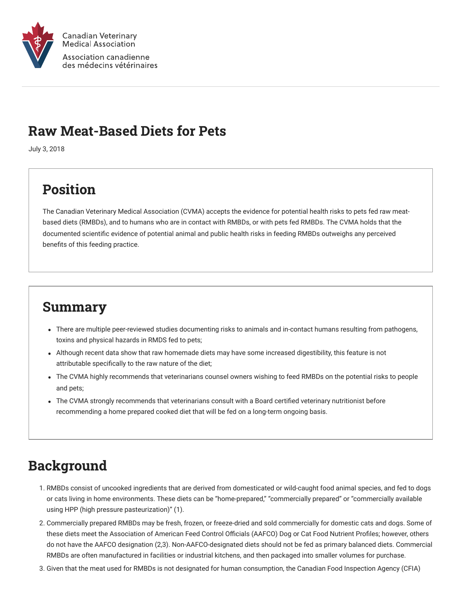

### Raw Meat-Based Diets for Pets

July 3, 2018

# Position

The Canadian Veterinary Medical Association (CVMA) accepts the evidence for potential health risks to pets fed raw meatbased diets (RMBDs), and to humans who are in contact with RMBDs, or with pets fed RMBDs. The CVMA holds that the documented scientific evidence of potential animal and public health risks in feeding RMBDs outweighs any perceived benefits of this feeding practice.

### Summary

- There are multiple peer-reviewed studies documenting risks to animals and in-contact humans resulting from pathogens, toxins and physical hazards in RMDS fed to pets;
- Although recent data show that raw homemade diets may have some increased digestibility, this feature is not attributable specifically to the raw nature of the diet;
- The CVMA highly recommends that veterinarians counsel owners wishing to feed RMBDs on the potential risks to people and pets;
- The CVMA strongly recommends that veterinarians consult with a Board certified veterinary nutritionist before recommending a home prepared cooked diet that will be fed on a long-term ongoing basis.

# Background

- 1. RMBDs consist of uncooked ingredients that are derived from domesticated or wild-caught food animal species, and fed to dogs or cats living in home environments. These diets can be "home-prepared," "commercially prepared" or "commercially available using HPP (high pressure pasteurization)" (1).
- 2. Commercially prepared RMBDs may be fresh, frozen, or freeze-dried and sold commercially for domestic cats and dogs. Some of these diets meet the Association of American Feed Control Officials (AAFCO) Dog or Cat Food Nutrient Profiles; however, others do not have the AAFCO designation (2,3). Non-AAFCO-designated diets should not be fed as primary balanced diets. Commercial RMBDs are often manufactured in facilities or industrial kitchens, and then packaged into smaller volumes for purchase.
- 3. Given that the meat used for RMBDs is not designated for human consumption, the Canadian Food Inspection Agency (CFIA)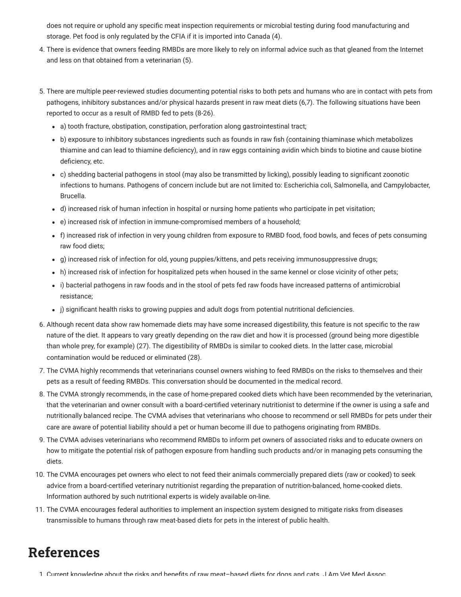does not require or uphold any specific meat inspection requirements or microbial testing during food manufacturing and storage. Pet food is only regulated by the CFIA if it is imported into Canada (4).

- 4. There is evidence that owners feeding RMBDs are more likely to rely on informal advice such as that gleaned from the Internet and less on that obtained from a veterinarian (5).
- 5. There are multiple peer-reviewed studies documenting potential risks to both pets and humans who are in contact with pets from pathogens, inhibitory substances and/or physical hazards present in raw meat diets (6,7). The following situations have been reported to occur as a result of RMBD fed to pets (8-26).
	- a) tooth fracture, obstipation, constipation, perforation along gastrointestinal tract;
	- b) exposure to inhibitory substances ingredients such as founds in raw fish (containing thiaminase which metabolizes thiamine and can lead to thiamine deficiency), and in raw eggs containing avidin which binds to biotine and cause biotine deficiency, etc.
	- c) shedding bacterial pathogens in stool (may also be transmitted by licking), possibly leading to significant zoonotic infections to humans. Pathogens of concern include but are not limited to: Escherichia coli, Salmonella, and Campylobacter, Brucella.
	- d) increased risk of human infection in hospital or nursing home patients who participate in pet visitation;
	- e) increased risk of infection in immune-compromised members of a household;
	- f) increased risk of infection in very young children from exposure to RMBD food, food bowls, and feces of pets consuming raw food diets;
	- g) increased risk of infection for old, young puppies/kittens, and pets receiving immunosuppressive drugs;
	- h) increased risk of infection for hospitalized pets when housed in the same kennel or close vicinity of other pets;
	- i) bacterial pathogens in raw foods and in the stool of pets fed raw foods have increased patterns of antimicrobial resistance;
	- j) significant health risks to growing puppies and adult dogs from potential nutritional deficiencies.
- 6. Although recent data show raw homemade diets may have some increased digestibility, this feature is not specific to the raw nature of the diet. It appears to vary greatly depending on the raw diet and how it is processed (ground being more digestible than whole prey, for example) (27). The digestibility of RMBDs is similar to cooked diets. In the latter case, microbial contamination would be reduced or eliminated (28).
- 7. The CVMA highly recommends that veterinarians counsel owners wishing to feed RMBDs on the risks to themselves and their pets as a result of feeding RMBDs. This conversation should be documented in the medical record.
- 8. The CVMA strongly recommends, in the case of home-prepared cooked diets which have been recommended by the veterinarian, that the veterinarian and owner consult with a board-certified veterinary nutritionist to determine if the owner is using a safe and nutritionally balanced recipe. The CVMA advises that veterinarians who choose to recommend or sell RMBDs for pets under their care are aware of potential liability should a pet or human become ill due to pathogens originating from RMBDs.
- 9. The CVMA advises veterinarians who recommend RMBDs to inform pet owners of associated risks and to educate owners on how to mitigate the potential risk of pathogen exposure from handling such products and/or in managing pets consuming the diets.
- 10. The CVMA encourages pet owners who elect to not feed their animals commercially prepared diets (raw or cooked) to seek advice from a board-certified veterinary nutritionist regarding the preparation of nutrition-balanced, home-cooked diets. Information authored by such nutritional experts is widely available on-line.
- 11. The CVMA encourages federal authorities to implement an inspection system designed to mitigate risks from diseases transmissible to humans through raw meat-based diets for pets in the interest of public health.

#### References

1 Current knowledge about the risks and benefits of raw meat–based diets for dogs and cats J Am Vet Med Assoc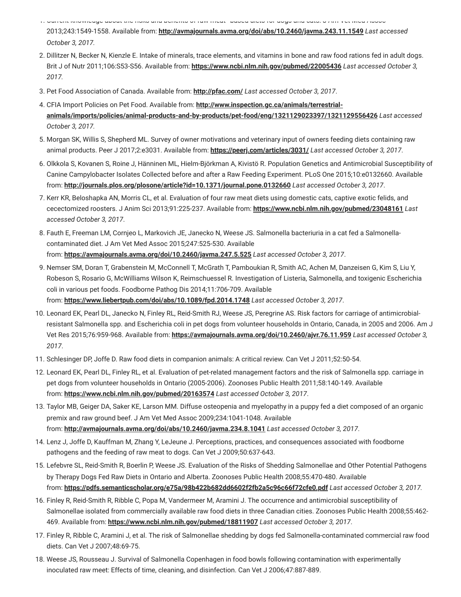- 1. Current knowledge about the risks and benefits of raw meat based diets for dogs and cats. J Am Vet Med Assoc 2013;243:1549-1558. Available from: **<http://avmajournals.avma.org/doi/abs/10.2460/javma.243.11.1549>** *Last accessed October 3, 2017.*
- 2. Dillitzer N, Becker N, Kienzle E. Intake of minerals, trace elements, and vitamins in bone and raw food rations fed in adult dogs. Brit J of Nutr 2011;106:S53-S56. Available from: **<https://www.ncbi.nlm.nih.gov/pubmed/22005436>** *Last accessed October 3, 2017.*
- 3. Pet Food Association of Canada. Available from: **<http://pfac.com/>** *Last accessed October 3, 2017*.
- 4. CFIA Import Policies on Pet Food. Available from: **http://www.inspection.gc.ca/animals/terrestrial[animals/imports/policies/animal-products-and-by-products/pet-food/eng/1321129023397/1321129556426](http://www.inspection.gc.ca/animals/terrestrial-animals/imports/policies/animal-products-and-by-products/pet-food/eng/1321129023397/1321129556426)** *Last accessed October 3, 2017.*
- 5. Morgan SK, Willis S, Shepherd ML. Survey of owner motivations and veterinary input of owners feeding diets containing raw animal products. Peer J 2017;2:e3031. Available from: **<https://peerj.com/articles/3031/>** *Last accessed October 3, 2017*.
- 6. Olkkola S, Kovanen S, Roine J, Hänninen ML, Hielm-Björkman A, Kivistö R. Population Genetics and Antimicrobial Susceptibility of Canine Campylobacter Isolates Collected before and after a Raw Feeding Experiment. PLoS One 2015;10:e0132660. Available from: **<http://journals.plos.org/plosone/article?id=10.1371/journal.pone.0132660>** *Last accessed October 3, 2017*.
- 7. Kerr KR, Beloshapka AN, Morris CL, et al. Evaluation of four raw meat diets using domestic cats, captive exotic felids, and cecectomized roosters. J Anim Sci 2013;91:225-237. Available from: **<https://www.ncbi.nlm.nih.gov/pubmed/23048161>** *Last accessed October 3, 2017*.
- 8. Fauth E, Freeman LM, Cornjeo L, Markovich JE, Janecko N, Weese JS. Salmonella bacteriuria in a cat fed a Salmonellacontaminated diet. J Am Vet Med Assoc 2015;247:525-530. Available from: **<https://avmajournals.avma.org/doi/10.2460/javma.247.5.525>** *Last accessed October 3, 2017*.
- 9. Nemser SM, Doran T, Grabenstein M, McConnell T, McGrath T, Pamboukian R, Smith AC, Achen M, Danzeisen G, Kim S, Liu Y, Robeson S, Rosario G, McWilliams Wilson K, Reimschuessel R. Investigation of Listeria, Salmonella, and toxigenic Escherichia coli in various pet foods. Foodborne Pathog Dis 2014;11:706-709. Available from: **<https://www.liebertpub.com/doi/abs/10.1089/fpd.2014.1748>** *Last accessed October 3, 2017*.
- 10. Leonard EK, Pearl DL, Janecko N, Finley RL, Reid-Smith RJ, Weese JS, Peregrine AS. Risk factors for carriage of antimicrobialresistant Salmonella spp. and Escherichia coli in pet dogs from volunteer households in Ontario, Canada, in 2005 and 2006. Am J Vet Res 2015;76:959-968. Available from: **<https://avmajournals.avma.org/doi/10.2460/ajvr.76.11.959>** *Last accessed October 3, 2017*.
- 11. Schlesinger DP, Joffe D. Raw food diets in companion animals: A critical review. Can Vet J 2011;52:50-54.
- 12. Leonard EK, Pearl DL, Finley RL, et al. Evaluation of pet-related management factors and the risk of Salmonella spp. carriage in pet dogs from volunteer households in Ontario (2005-2006). Zoonoses Public Health 2011;58:140-149. Available from: **<https://www.ncbi.nlm.nih.gov/pubmed/20163574>** *Last accessed October 3, 2017*.
- 13. Taylor MB, Geiger DA, Saker KE, Larson MM. Diffuse osteopenia and myelopathy in a puppy fed a diet composed of an organic premix and raw ground beef. J Am Vet Med Assoc 2009;234:1041-1048. Available from: **<http://avmajournals.avma.org/doi/abs/10.2460/javma.234.8.1041>** *Last accessed October 3, 2017*.
- 14. Lenz J, Joffe D, Kauffman M, Zhang Y, LeJeune J. Perceptions, practices, and consequences associated with foodborne pathogens and the feeding of raw meat to dogs. Can Vet J 2009;50:637-643.
- 15. Lefebvre SL, Reid-Smith R, Boerlin P, Weese JS. Evaluation of the Risks of Shedding Salmonellae and Other Potential Pathogens by Therapy Dogs Fed Raw Diets in Ontario and Alberta. Zoonoses Public Health 2008;55:470-480. Available from: **<https://pdfs.semanticscholar.org/e75a/98b422b682dd6602f2fb2a5c96c66f72cfe0.pdf>** *Last accessed October 3, 2017.*
- 16. Finley R, Reid-Smith R, Ribble C, Popa M, Vandermeer M, Aramini J. The occurrence and antimicrobial susceptibility of Salmonellae isolated from commercially available raw food diets in three Canadian cities. Zoonoses Public Health 2008;55:462- 469. Available from: **<https://www.ncbi.nlm.nih.gov/pubmed/18811907>** *Last accessed October 3, 2017*.
- 17. Finley R, Ribble C, Aramini J, et al. The risk of Salmonellae shedding by dogs fed Salmonella-contaminated commercial raw food diets. Can Vet J 2007;48:69-75.
- 18. Weese JS, Rousseau J. Survival of Salmonella Copenhagen in food bowls following contamination with experimentally inoculated raw meet: Effects of time, cleaning, and disinfection. Can Vet J 2006;47:887-889.